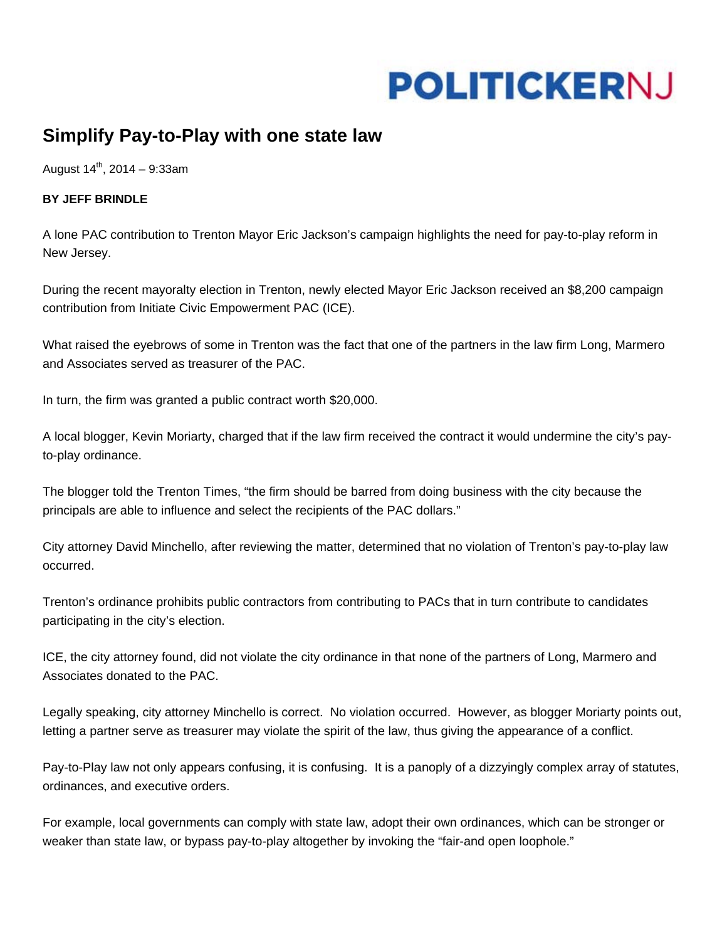## **POLITICKERNJ**

## **Simplify Pay-to-Play with one state law**

August  $14^{th}$ , 2014 – 9:33am

## **BY JEFF BRINDLE**

A lone PAC contribution to Trenton Mayor Eric Jackson's campaign highlights the need for pay-to-play reform in New Jersey.

During the recent mayoralty election in Trenton, newly elected Mayor Eric Jackson received an \$8,200 campaign contribution from Initiate Civic Empowerment PAC (ICE).

What raised the eyebrows of some in Trenton was the fact that one of the partners in the law firm Long, Marmero and Associates served as treasurer of the PAC.

In turn, the firm was granted a public contract worth \$20,000.

A local blogger, Kevin Moriarty, charged that if the law firm received the contract it would undermine the city's payto-play ordinance.

The blogger told the Trenton Times, "the firm should be barred from doing business with the city because the principals are able to influence and select the recipients of the PAC dollars."

City attorney David Minchello, after reviewing the matter, determined that no violation of Trenton's pay-to-play law occurred.

Trenton's ordinance prohibits public contractors from contributing to PACs that in turn contribute to candidates participating in the city's election.

ICE, the city attorney found, did not violate the city ordinance in that none of the partners of Long, Marmero and Associates donated to the PAC.

Legally speaking, city attorney Minchello is correct. No violation occurred. However, as blogger Moriarty points out, letting a partner serve as treasurer may violate the spirit of the law, thus giving the appearance of a conflict.

Pay-to-Play law not only appears confusing, it is confusing. It is a panoply of a dizzyingly complex array of statutes, ordinances, and executive orders.

For example, local governments can comply with state law, adopt their own ordinances, which can be stronger or weaker than state law, or bypass pay-to-play altogether by invoking the "fair-and open loophole."